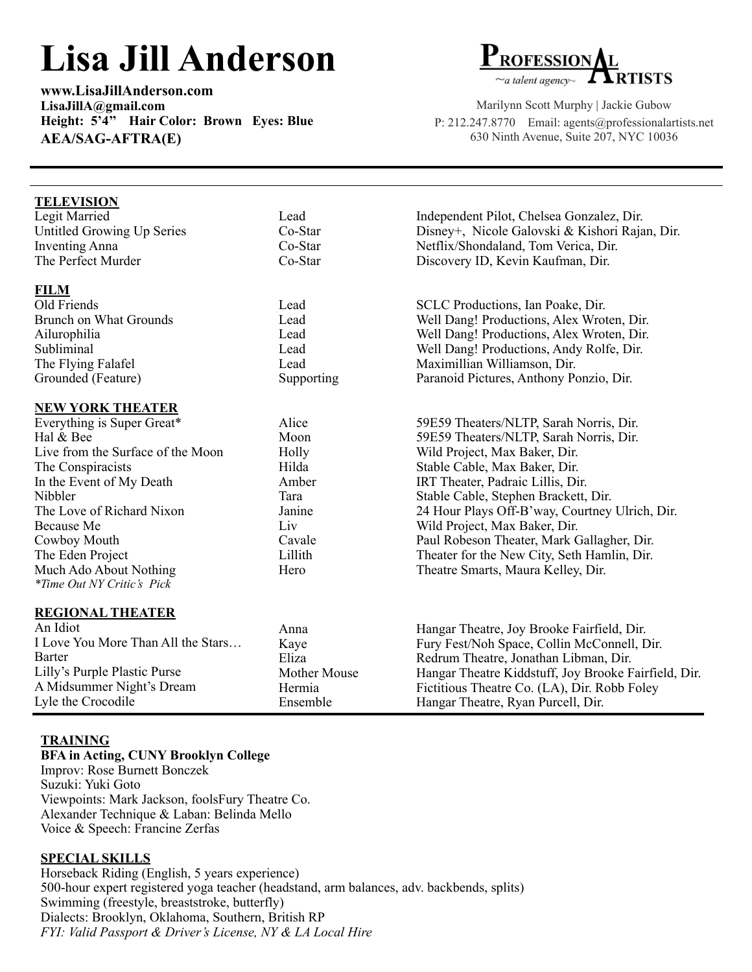## **Lisa Jill Anderson**

**[www.LisaJillAnderson.com](http://www.LisaJillAnderson.com)  [LisaJillA@gmail.com](mailto:LisaJillA@gmail.com)  Height: 5'4'' Hair Color: Brown Eyes: Blue AEA/SAG-AFTRA(E)**



Marilynn Scott Murphy | Jackie Gubow P: 212.247.8770 Email: [agents@professionalartists.net](mailto:agents@professionalartists.net) 630 Ninth Avenue, Suite 207, NYC 10036

| <b>TELEVISION</b>                  |                     |                                                      |
|------------------------------------|---------------------|------------------------------------------------------|
| Legit Married                      | Lead                | Independent Pilot, Chelsea Gonzalez, Dir.            |
| Untitled Growing Up Series         | Co-Star             | Disney+, Nicole Galovski & Kishori Rajan, Dir.       |
| <b>Inventing Anna</b>              | Co-Star             | Netflix/Shondaland, Tom Verica, Dir.                 |
| The Perfect Murder                 | Co-Star             | Discovery ID, Kevin Kaufman, Dir.                    |
|                                    |                     |                                                      |
| <b>FILM</b>                        |                     |                                                      |
| Old Friends                        | Lead                | SCLC Productions, Ian Poake, Dir.                    |
| <b>Brunch on What Grounds</b>      | Lead                | Well Dang! Productions, Alex Wroten, Dir.            |
| Ailurophilia                       | Lead                | Well Dang! Productions, Alex Wroten, Dir.            |
| Subliminal                         | Lead                | Well Dang! Productions, Andy Rolfe, Dir.             |
| The Flying Falafel                 | Lead                | Maximillian Williamson, Dir.                         |
| Grounded (Feature)                 | Supporting          | Paranoid Pictures, Anthony Ponzio, Dir.              |
|                                    |                     |                                                      |
| <b>NEW YORK THEATER</b>            |                     |                                                      |
| Everything is Super Great*         | Alice               | 59E59 Theaters/NLTP, Sarah Norris, Dir.              |
| Hal & Bee                          | Moon                | 59E59 Theaters/NLTP, Sarah Norris, Dir.              |
| Live from the Surface of the Moon  | Holly               | Wild Project, Max Baker, Dir.                        |
| The Conspiracists                  | Hilda               | Stable Cable, Max Baker, Dir.                        |
| In the Event of My Death           | Amber               | IRT Theater, Padraic Lillis, Dir.                    |
| Nibbler                            | Tara                | Stable Cable, Stephen Brackett, Dir.                 |
| The Love of Richard Nixon          | Janine              | 24 Hour Plays Off-B'way, Courtney Ulrich, Dir.       |
| Because Me                         | Liv                 | Wild Project, Max Baker, Dir.                        |
| Cowboy Mouth                       | Cavale              | Paul Robeson Theater, Mark Gallagher, Dir.           |
| The Eden Project                   | Lillith             | Theater for the New City, Seth Hamlin, Dir.          |
| Much Ado About Nothing             | Hero                | Theatre Smarts, Maura Kelley, Dir.                   |
| <i>*Time Out NY Critic's Pick</i>  |                     |                                                      |
| <b>REGIONAL THEATER</b>            |                     |                                                      |
| An Idiot                           | Anna                | Hangar Theatre, Joy Brooke Fairfield, Dir.           |
| I Love You More Than All the Stars |                     | Fury Fest/Noh Space, Collin McConnell, Dir.          |
| <b>Barter</b>                      | Kaye<br>Eliza       | Redrum Theatre, Jonathan Libman, Dir.                |
| Lilly's Purple Plastic Purse       | <b>Mother Mouse</b> | Hangar Theatre Kiddstuff, Joy Brooke Fairfield, Dir. |
| A Midsummer Night's Dream          | Hermia              |                                                      |
| Lyle the Crocodile                 |                     | Fictitious Theatre Co. (LA), Dir. Robb Foley         |
|                                    | Ensemble            | Hangar Theatre, Ryan Purcell, Dir.                   |

## **TRAINING**

## **BFA in Acting, CUNY Brooklyn College**

Improv: Rose Burnett Bonczek Suzuki: Yuki Goto Viewpoints: Mark Jackson, foolsFury Theatre Co. Alexander Technique & Laban: Belinda Mello Voice & Speech: Francine Zerfas

## **SPECIAL SKILLS**

Horseback Riding (English, 5 years experience) 500-hour expert registered yoga teacher (headstand, arm balances, adv. backbends, splits) Swimming (freestyle, breaststroke, butterfly) Dialects: Brooklyn, Oklahoma, Southern, British RP *FYI: Valid Passport & Driver's License, NY & LA Local Hire*